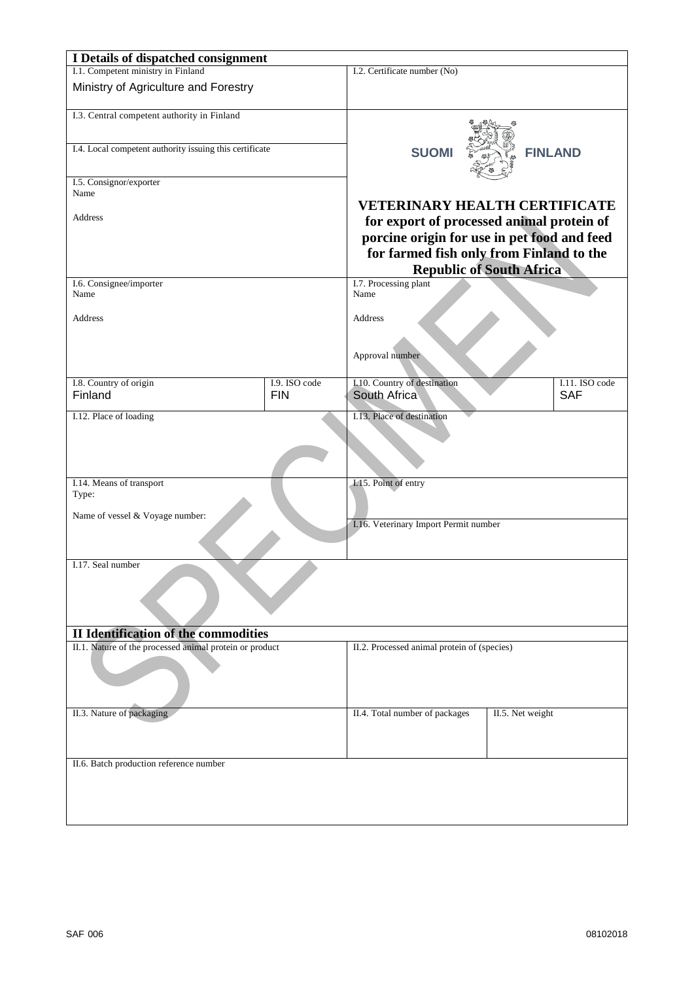| I Details of dispatched consignment                     |                             |                                                                                                                                                                         |                             |  |
|---------------------------------------------------------|-----------------------------|-------------------------------------------------------------------------------------------------------------------------------------------------------------------------|-----------------------------|--|
| I.1. Competent ministry in Finland                      |                             | I.2. Certificate number (No)                                                                                                                                            |                             |  |
| Ministry of Agriculture and Forestry                    |                             |                                                                                                                                                                         |                             |  |
| I.3. Central competent authority in Finland             |                             |                                                                                                                                                                         |                             |  |
| I.4. Local competent authority issuing this certificate |                             | <b>SUOMI</b>                                                                                                                                                            | <b>FINLAND</b>              |  |
| I.5. Consignor/exporter                                 |                             |                                                                                                                                                                         |                             |  |
| Name<br>Address                                         |                             | <b>VETERINARY HEALTH CERTIFICATE</b>                                                                                                                                    |                             |  |
|                                                         |                             | for export of processed animal protein of<br>porcine origin for use in pet food and feed<br>for farmed fish only from Finland to the<br><b>Republic of South Africa</b> |                             |  |
| I.6. Consignee/importer<br>Name                         |                             | I.7. Processing plant<br>Name                                                                                                                                           |                             |  |
| Address                                                 |                             | Address                                                                                                                                                                 |                             |  |
|                                                         |                             | Approval number                                                                                                                                                         |                             |  |
| I.8. Country of origin<br>Finland                       | I.9. ISO code<br><b>FIN</b> | I.10. Country of destination<br>South Africa                                                                                                                            | L11. ISO code<br><b>SAF</b> |  |
| I.12. Place of loading                                  |                             | I.13. Place of destination                                                                                                                                              |                             |  |
| I.14. Means of transport<br>Type:                       |                             | I.15. Point of entry                                                                                                                                                    |                             |  |
| Name of vessel & Voyage number:                         |                             | I.16. Veterinary Import Permit number                                                                                                                                   |                             |  |
| I.17. Seal number                                       |                             |                                                                                                                                                                         |                             |  |
| <b>II Identification of the commodities</b>             |                             |                                                                                                                                                                         |                             |  |
| II.1. Nature of the processed animal protein or product |                             | II.2. Processed animal protein of (species)                                                                                                                             |                             |  |
| II.3. Nature of packaging                               |                             | II.4. Total number of packages                                                                                                                                          | II.5. Net weight            |  |
| II.6. Batch production reference number                 |                             |                                                                                                                                                                         |                             |  |
|                                                         |                             |                                                                                                                                                                         |                             |  |